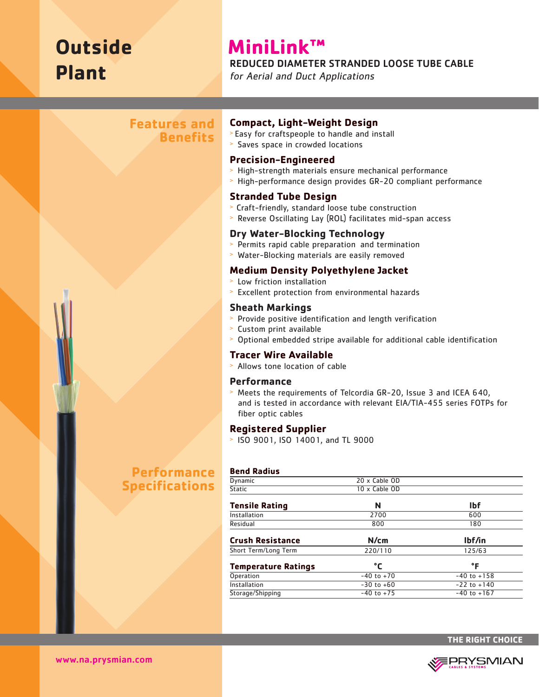# **Outside Plant**

# **MiniLink™**

#### REDUCED DIAMETER STRANDED LOOSE TUBE CABLE

for Aerial and Duct Applications

## **Features and Benefits**

# **Compact, Light-Weight Design**

- > Easy for craftspeople to handle and install
- > Saves space in crowded locations

#### **Precision-Engineered**

- > High-strength materials ensure mechanical performance
- > High-performance design provides GR-20 compliant performance

#### **Stranded Tube Design**

- > Craft-friendly, standard loose tube construction
- > Reverse Oscillating Lay (ROL) facilitates mid-span access

#### **Dry Water-Blocking Technology**

- > Permits rapid cable preparation and termination
- > Water-Blocking materials are easily removed

#### **Medium Density Polyethylene Jacket**

- > Low friction installation
- > Excellent protection from environmental hazards

#### **Sheath Markings**

- > Provide positive identification and length verification
- > Custom print available
- > Optional embedded stripe available for additional cable identification

#### **Tracer Wire Available**

> Allows tone location of cable

#### **Performance**

> Meets the requirements of Telcordia GR-20, Issue 3 and ICEA 640, and is tested in accordance with relevant EIA/TIA-455 series FOTPs for fiber optic cables

#### **Registered Supplier**

> ISO 9001, ISO 14001, and TL 9000

#### **Bend Radius**

| Dynamic                    | 20 x Cable OD  |                 |  |  |
|----------------------------|----------------|-----------------|--|--|
| <b>Static</b>              | 10 x Cable OD  |                 |  |  |
| <b>Tensile Rating</b>      | N              | <b>Ibf</b>      |  |  |
| Installation               | 2700           | 600             |  |  |
| Residual                   | 800            | 180             |  |  |
| <b>Crush Resistance</b>    | N/cm           | lbf/in          |  |  |
| Short Term/Long Term       | 220/110        | 125/63          |  |  |
| <b>Temperature Ratings</b> | °C             | °F              |  |  |
| Operation                  | $-40$ to $+70$ | $-40$ to $+158$ |  |  |
| Installation               | $-30$ to $+60$ | $-22$ to $+140$ |  |  |
| Storage/Shipping           | $-40$ to $+75$ | $-40$ to $+167$ |  |  |

# **Performance Specifications**

**THE RIGHT CHOICE**